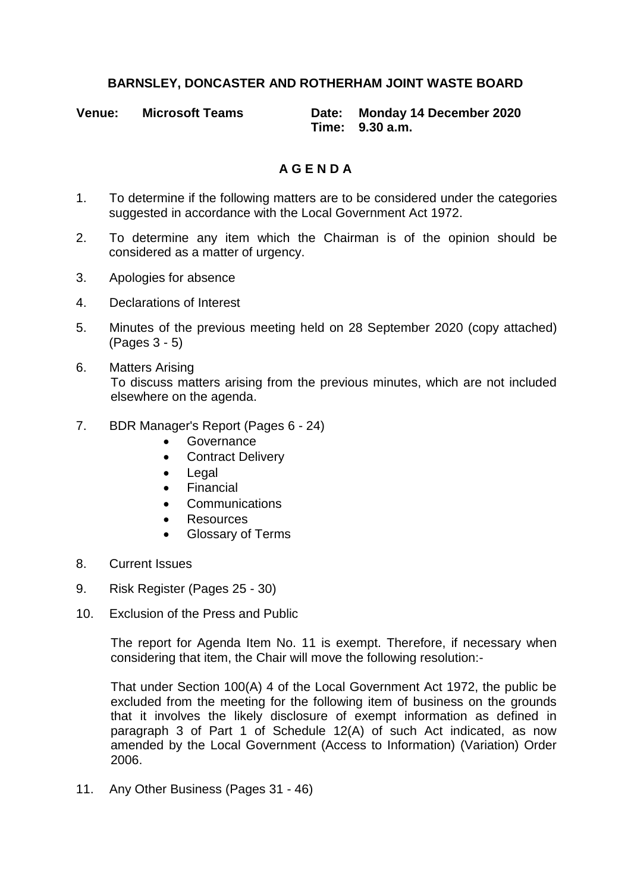## **BARNSLEY, DONCASTER AND ROTHERHAM JOINT WASTE BOARD**

| <b>Venue:</b> | <b>Microsoft Teams</b> | Date: Monday 14 December 2020 |
|---------------|------------------------|-------------------------------|
|               |                        | Time: 9.30 a.m.               |

## **A G E N D A**

- 1. To determine if the following matters are to be considered under the categories suggested in accordance with the Local Government Act 1972.
- 2. To determine any item which the Chairman is of the opinion should be considered as a matter of urgency.
- 3. Apologies for absence
- 4. Declarations of Interest
- 5. Minutes of the previous meeting held on 28 September 2020 (copy attached) (Pages 3 - 5)
- 6. Matters Arising To discuss matters arising from the previous minutes, which are not included elsewhere on the agenda.
- 7. BDR Manager's Report (Pages 6 24)
	- **•** Governance
	- **•** Contract Delivery
	- Legal
	- **•** Financial
	- **•** Communications
	- Resources
	- Glossary of Terms
- 8. Current Issues
- 9. Risk Register (Pages 25 30)
- 10. Exclusion of the Press and Public

The report for Agenda Item No. 11 is exempt. Therefore, if necessary when considering that item, the Chair will move the following resolution:-

That under Section 100(A) 4 of the Local Government Act 1972, the public be excluded from the meeting for the following item of business on the grounds that it involves the likely disclosure of exempt information as defined in paragraph 3 of Part 1 of Schedule 12(A) of such Act indicated, as now amended by the Local Government (Access to Information) (Variation) Order 2006.

11. Any Other Business (Pages 31 - 46)